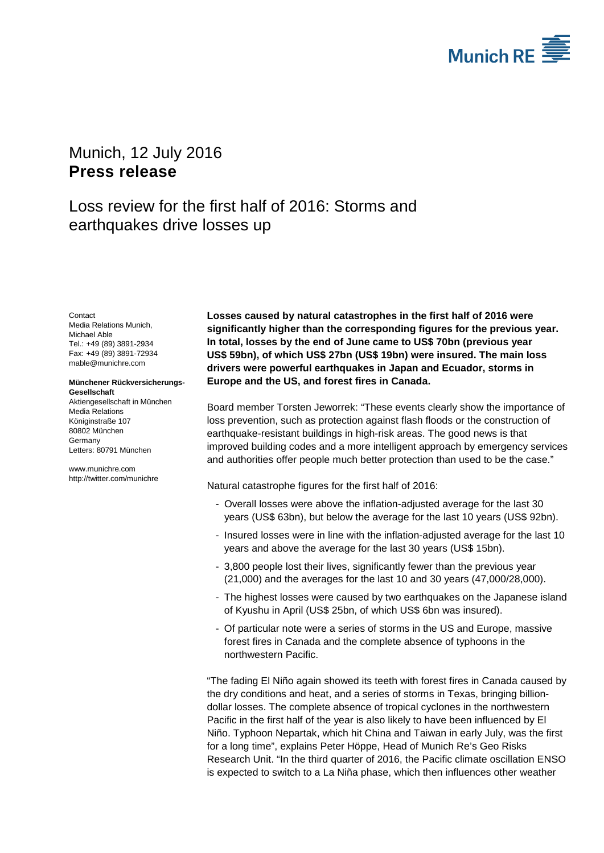

# <span id="page-0-1"></span><span id="page-0-0"></span>Munich, 12 July 2016 **Press release**

# Loss review for the first half of 2016: Storms and earthquakes drive losses up

<span id="page-0-3"></span><span id="page-0-2"></span>**Contact** Media Relations Munich, Michael Able Tel.: +49 (89) 3891-2934 Fax: +49 (89) 3891-72934 mable@munichre.com

### **Münchener Rückversicherungs-Gesellschaft**

Aktiengesellschaft in München Media Relations Königinstraße 107 80802 München Germany Letters: 80791 München

www.munichre.com http://twitter.com/munichre **Losses caused by natural catastrophes in the first half of 2016 were significantly higher than the corresponding figures for the previous year. In total, losses by the end of June came to US\$ 70bn (previous year US\$ 59bn), of which US\$ 27bn (US\$ 19bn) were insured. The main loss drivers were powerful earthquakes in Japan and Ecuador, storms in Europe and the US, and forest fires in Canada.**

Board member Torsten Jeworrek: "These events clearly show the importance of loss prevention, such as protection against flash floods or the construction of earthquake-resistant buildings in high-risk areas. The good news is that improved building codes and a more intelligent approach by emergency services and authorities offer people much better protection than used to be the case."

Natural catastrophe figures for the first half of 2016:

- Overall losses were above the inflation-adjusted average for the last 30 years (US\$ 63bn), but below the average for the last 10 years (US\$ 92bn).
- Insured losses were in line with the inflation-adjusted average for the last 10 years and above the average for the last 30 years (US\$ 15bn).
- 3,800 people lost their lives, significantly fewer than the previous year (21,000) and the averages for the last 10 and 30 years (47,000/28,000).
- The highest losses were caused by two earthquakes on the Japanese island of Kyushu in April (US\$ 25bn, of which US\$ 6bn was insured).
- Of particular note were a series of storms in the US and Europe, massive forest fires in Canada and the complete absence of typhoons in the northwestern Pacific.

"The fading El Niño again showed its teeth with forest fires in Canada caused by the dry conditions and heat, and a series of storms in Texas, bringing billiondollar losses. The complete absence of tropical cyclones in the northwestern Pacific in the first half of the year is also likely to have been influenced by El Niño. Typhoon Nepartak, which hit China and Taiwan in early July, was the first for a long time", explains Peter Höppe, Head of Munich Re's Geo Risks Research Unit. "In the third quarter of 2016, the Pacific climate oscillation ENSO is expected to switch to a La Niña phase, which then influences other weather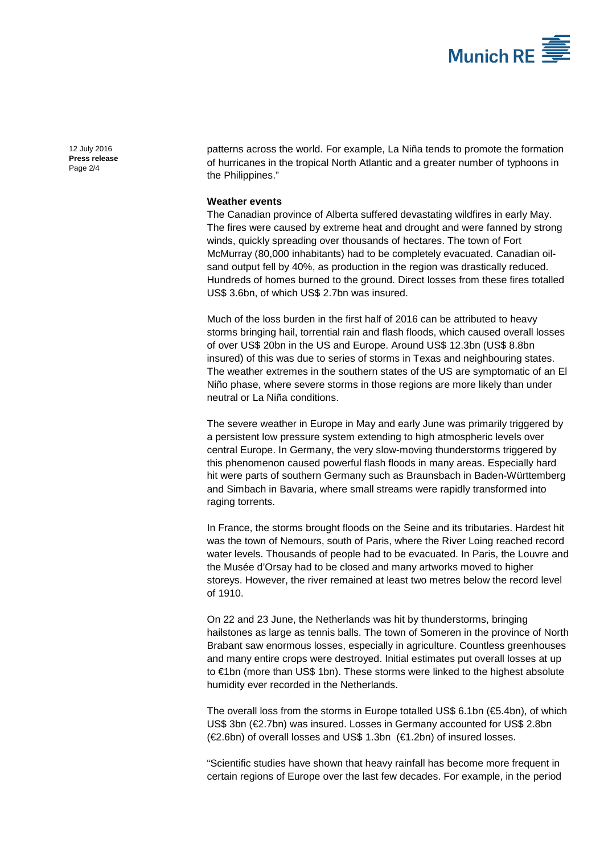

[12 July 2016](#page-0-0) **Press [release](#page-0-1)** Page 2/4

patterns across the world. For example, La Niña tends to promote the formation of hurricanes in the tropical North Atlantic and a greater number of typhoons in the Philippines."

### **Weather events**

The Canadian province of Alberta suffered devastating wildfires in early May. The fires were caused by extreme heat and drought and were fanned by strong winds, quickly spreading over thousands of hectares. The town of Fort McMurray (80,000 inhabitants) had to be completely evacuated. Canadian oilsand output fell by 40%, as production in the region was drastically reduced. Hundreds of homes burned to the ground. Direct losses from these fires totalled US\$ 3.6bn, of which US\$ 2.7bn was insured.

Much of the loss burden in the first half of 2016 can be attributed to heavy storms bringing hail, torrential rain and flash floods, which caused overall losses of over US\$ 20bn in the US and Europe. Around US\$ 12.3bn (US\$ 8.8bn insured) of this was due to series of storms in Texas and neighbouring states. The weather extremes in the southern states of the US are symptomatic of an El Niño phase, where severe storms in those regions are more likely than under neutral or La Niña conditions.

The severe weather in Europe in May and early June was primarily triggered by a persistent low pressure system extending to high atmospheric levels over central Europe. In Germany, the very slow-moving thunderstorms triggered by this phenomenon caused powerful flash floods in many areas. Especially hard hit were parts of southern Germany such as Braunsbach in Baden-Württemberg and Simbach in Bavaria, where small streams were rapidly transformed into raging torrents.

In France, the storms brought floods on the Seine and its tributaries. Hardest hit was the town of Nemours, south of Paris, where the River Loing reached record water levels. Thousands of people had to be evacuated. In Paris, the Louvre and the Musée d'Orsay had to be closed and many artworks moved to higher storeys. However, the river remained at least two metres below the record level of 1910.

On 22 and 23 June, the Netherlands was hit by thunderstorms, bringing hailstones as large as tennis balls. The town of Someren in the province of North Brabant saw enormous losses, especially in agriculture. Countless greenhouses and many entire crops were destroyed. Initial estimates put overall losses at up to €1bn (more than US\$ 1bn). These storms were linked to the highest absolute humidity ever recorded in the Netherlands.

The overall loss from the storms in Europe totalled US\$ 6.1bn ( $\epsilon$ 5.4bn), of which US\$ 3bn (€2.7bn) was insured. Losses in Germany accounted for US\$ 2.8bn (€2.6bn) of overall losses and US\$ 1.3bn (€1.2bn) of insured losses.

"Scientific studies have shown that heavy rainfall has become more frequent in certain regions of Europe over the last few decades. For example, in the period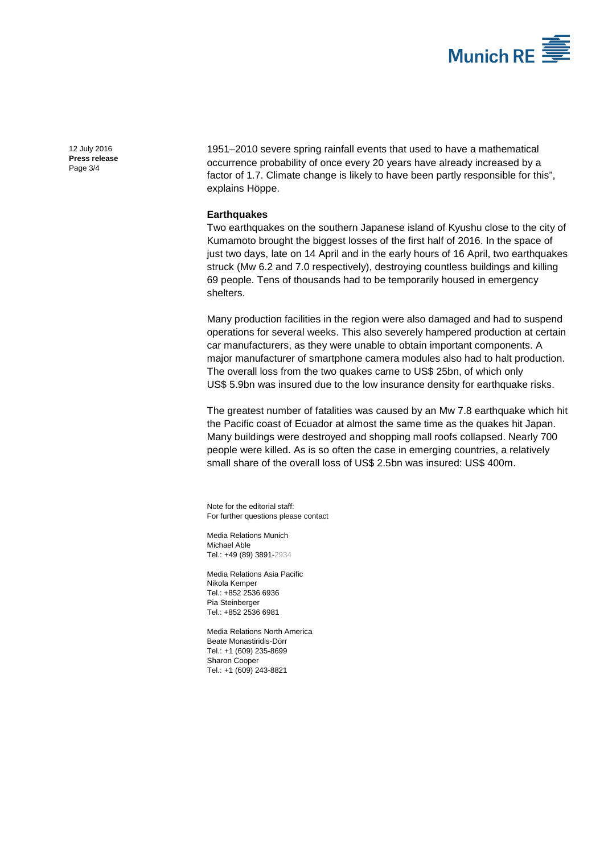

[12 July 2016](#page-0-0) **Press [release](#page-0-1)** Page 3/4

1951–2010 severe spring rainfall events that used to have a mathematical occurrence probability of once every 20 years have already increased by a factor of 1.7. Climate change is likely to have been partly responsible for this", explains Höppe.

## **Earthquakes**

Two earthquakes on the southern Japanese island of Kyushu close to the city of Kumamoto brought the biggest losses of the first half of 2016. In the space of just two days, late on 14 April and in the early hours of 16 April, two earthquakes struck (Mw 6.2 and 7.0 respectively), destroying countless buildings and killing 69 people. Tens of thousands had to be temporarily housed in emergency shelters.

Many production facilities in the region were also damaged and had to suspend operations for several weeks. This also severely hampered production at certain car manufacturers, as they were unable to obtain important components. A major manufacturer of smartphone camera modules also had to halt production. The overall loss from the two quakes came to US\$ 25bn, of which only US\$ 5.9bn was insured due to the low insurance density for earthquake risks.

The greatest number of fatalities was caused by an Mw 7.8 earthquake which hit the Pacific coast of Ecuador at almost the same time as the quakes hit Japan. Many buildings were destroyed and shopping mall roofs collapsed. Nearly 700 people were killed. As is so often the case in emerging countries, a relatively small share of the overall loss of US\$ 2.5bn was insured: US\$ 400m.

Note for the editorial staff: For further questions please contact

Media Relations Munich [Michael Able](#page-0-2) Tel.: +49 (89) 389[1-2934](#page-0-3)

Media Relations Asia Pacific Nikola Kemper Tel.: +852 2536 6936 Pia Steinberger Tel.: +852 2536 6981

Media Relations North America Beate Monastiridis-Dörr Tel.: +1 (609) 235-8699 Sharon Cooper Tel.: +1 (609) 243-8821